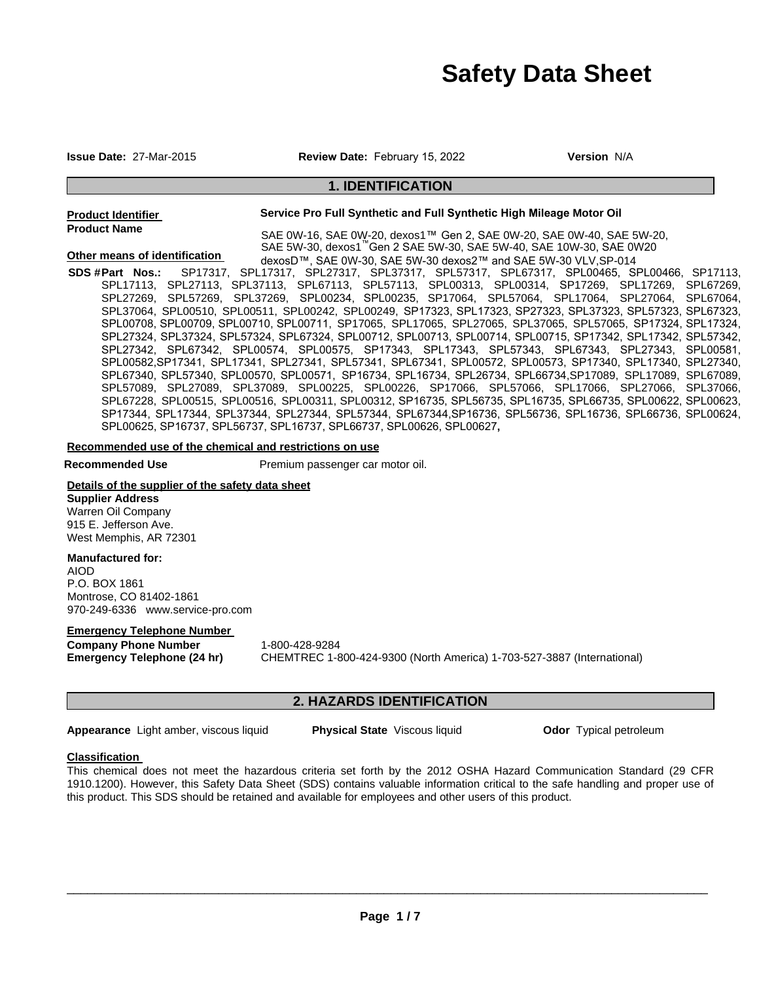# **Safety Data Sheet**

**Other means of identification** 

**Issue Date:** 27-Mar-2015 **Review Date:** February 15, 2022 **Version** N/A

# **1. IDENTIFICATION**

**Product Identifier Product Name** 

SAE 0W-16, SAE 0W-20, dexos1™ Gen 2, SAE 0W-20, SAE 0W-40, SAE 5W-20, SAE 5W-30, dexos1™Gen 2 SAE 5W-30, SAE 5W-40, SAE 10W-30, SAE 0W20 dexosD™, SAE 0W-30, SAE 5W-30 dexos2™ and SAE 5W-30 VLV,SP-014

**Service Pro Full Synthetic and Full Synthetic High Mileage Motor Oil** 

**SDS # Part Nos.: Part Nos.:** SP17317, SPL17317, SPL27317, SPL37317, SPL57317, SPL67317, SPL00465, SPL00466, SP17113, SPL17113, SPL27113, SPL37113, SPL67113, SPL57113, SPL00313, SPL00314, SP17269, SPL17269, SPL67269,<br>SPL27269, SPL57269, SPL37269, SPL00234, SPL00235, SP17064, SPL57064, SPL17064, SPL27064, SPL67064, SPL27269, SPL57269, SPL37269, SPL00234, SPL00235, SP17064, SPL57064, SPL17064, SPL27064, SPL37064, SPL00510, SPL00511, SPL00242, SPL00249, SP17323, SPL17323, SP27323, SPL37323, SPL57323, SPL67323, SPL00708, SPL00709, SPL00710, SPL00711, SP17065, SPL17065, SPL27065, SPL37065, SPL57065, SP17324, SPL17324, SPL27324, SPL37324, SPL57324, SPL67324, SPL00712, SPL00713, SPL00714, SPL00715, SP17342, SPL17342, SPL57342, SPL27342, SPL67342, SPL00574, SPL00575, SP17343, SPL17343, SPL57343, SPL67343, SPL27343, SPL00581, SPL00582,SP17341, SPL17341, SPL27341, SPL57341, SPL67341, SPL00572, SPL00573, SP17340, SPL17340, SPL27340, SPL67340, SPL57340, SPL00570, SPL00571, SP16734, SPL16734, SPL26734, SPL66734,SP17089, SPL17089, SPL67089, SPL57089, SPL27089, SPL37089, SPL00225, SPL00226, SP17066, SPL57066, SPL17066, SPL27066, SPL37066, SPL67228, SPL00515, SPL00516, SPL00311, SPL00312, SP16735, SPL56735, SPL16735, SPL66735, SPL00622, SPL00623, SP17344, SPL17344, SPL37344, SPL27344, SPL57344, SPL67344,SP16736, SPL56736, SPL16736, SPL66736, SPL00624, SPL00625, SP16737, SPL56737, SPL16737, SPL66737, SPL00626, SPL00627**,** 

**Recommended use of the chemical and restrictions on use** 

**Recommended Use The Premium passenger car motor oil.** 

**Details of the supplier of the safety data sheet Supplier Address**  Warren Oil Company

# 915 E. Jefferson Ave. West Memphis, AR 72301

# **Manufactured for:**

AIOD P.O. BOX 1861 Montrose, CO 81402-1861 970-249-6336 www.service-pro.com

## **Emergency Telephone Number**

**Company Phone Number** 1-800-428-9284

**Emergency Telephone (24 hr)** CHEMTREC 1-800-424-9300 (North America) 1-703-527-3887 (International)

# **2. HAZARDS IDENTIFICATION**

**Appearance** Light amber, viscous liquid **Physical State** Viscous liquid **Odor** Typical petroleum

# **Classification**

This chemical does not meet the hazardous criteria set forth by the 2012 OSHA Hazard Communication Standard (29 CFR 1910.1200). However, this Safety Data Sheet (SDS) contains valuable information critical to the safe handling and proper use of this product. This SDS should be retained and available for employees and other users of this product.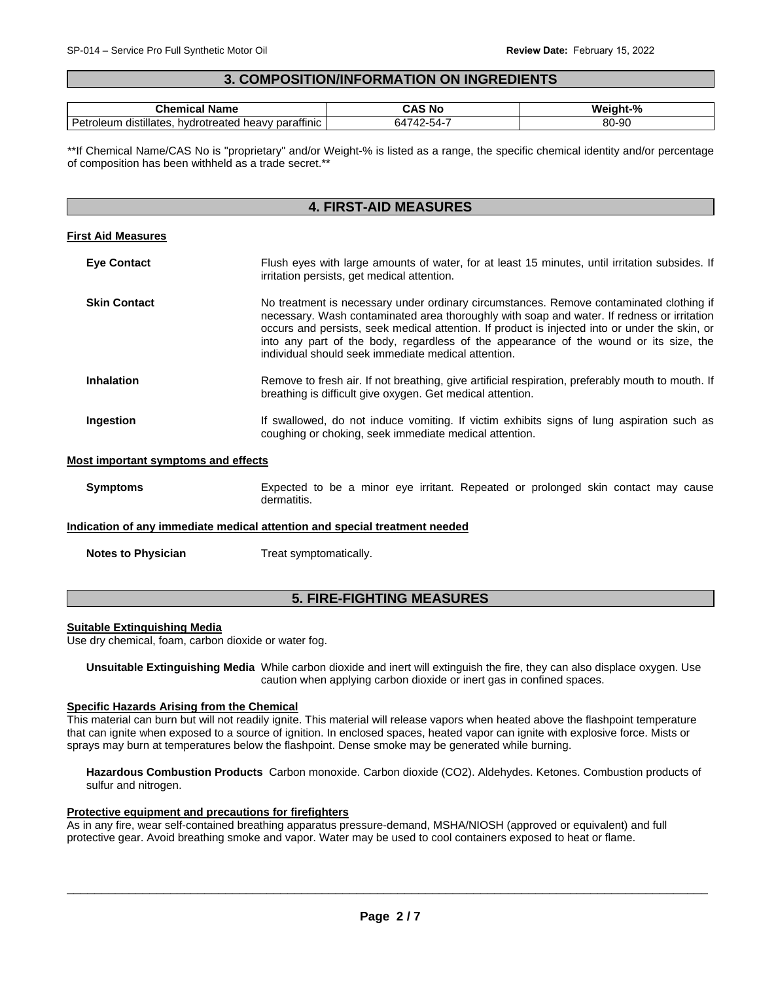#### $\overline{\phantom{a}}$  , and the set of the set of the set of the set of the set of the set of the set of the set of the set of the set of the set of the set of the set of the set of the set of the set of the set of the set of the s **3. COMPOSITION/INFORMATION ON INGREDIENTS**

| Name<br>$\mathsf{u}$ ner $\mathsf{u}$<br>.com                                                              | - - -<br>N.   | $-$ %<br>w<br>าเ-  |
|------------------------------------------------------------------------------------------------------------|---------------|--------------------|
| $\overline{\phantom{a}}$<br><br>parattinic<br>*otreateo<br>distillates.<br>hvdr.<br>Petr<br>oleum<br>heavv | $\sim$ $\sim$ | o٨<br>nr.<br>๐∪-๖∪ |

\*\*If Chemical Name/CAS No is "proprietary" and/or Weight-% is listed as a range, the specific chemical identity and/or percentage of composition has been withheld as a trade secret.\*\*

# **4. FIRST-AID MEASURES**

## **First Aid Measures**

| <b>Eye Contact</b>  | Flush eyes with large amounts of water, for at least 15 minutes, until irritation subsides. If<br>irritation persists, get medical attention.                                                                                                                                                                                                                                                                                           |
|---------------------|-----------------------------------------------------------------------------------------------------------------------------------------------------------------------------------------------------------------------------------------------------------------------------------------------------------------------------------------------------------------------------------------------------------------------------------------|
| <b>Skin Contact</b> | No treatment is necessary under ordinary circumstances. Remove contaminated clothing if<br>necessary. Wash contaminated area thoroughly with soap and water. If redness or irritation<br>occurs and persists, seek medical attention. If product is injected into or under the skin, or<br>into any part of the body, regardless of the appearance of the wound or its size, the<br>individual should seek immediate medical attention. |
| <b>Inhalation</b>   | Remove to fresh air. If not breathing, give artificial respiration, preferably mouth to mouth. If<br>breathing is difficult give oxygen. Get medical attention.                                                                                                                                                                                                                                                                         |
| Ingestion           | If swallowed, do not induce vomiting. If victim exhibits signs of lung aspiration such as<br>coughing or choking, seek immediate medical attention.                                                                                                                                                                                                                                                                                     |

## **Most important symptoms and effects**

**Symptoms Expected to be a minor eye irritant. Repeated or prolonged skin contact may cause** dermatitis.

#### **Indication of any immediate medical attention and special treatment needed**

**Notes to Physician**  Treat symptomatically.

# **5. FIRE-FIGHTING MEASURES**

## **Suitable Extinguishing Media**

Use dry chemical, foam, carbon dioxide or water fog.

**Unsuitable Extinguishing Media** While carbon dioxide and inert will extinguish the fire, they can also displace oxygen. Use caution when applying carbon dioxide or inert gas in confined spaces.

# **Specific Hazards Arising from the Chemical**

This material can burn but will not readily ignite. This material will release vapors when heated above the flashpoint temperature that can ignite when exposed to a source of ignition. In enclosed spaces, heated vapor can ignite with explosive force. Mists or sprays may burn at temperatures below the flashpoint. Dense smoke may be generated while burning.

**Hazardous Combustion Products** Carbon monoxide. Carbon dioxide (CO2). Aldehydes. Ketones. Combustion products of sulfur and nitrogen.

## **Protective equipment and precautions for firefighters**

As in any fire, wear self-contained breathing apparatus pressure-demand, MSHA/NIOSH (approved or equivalent) and full protective gear. Avoid breathing smoke and vapor. Water may be used to cool containers exposed to heat or flame.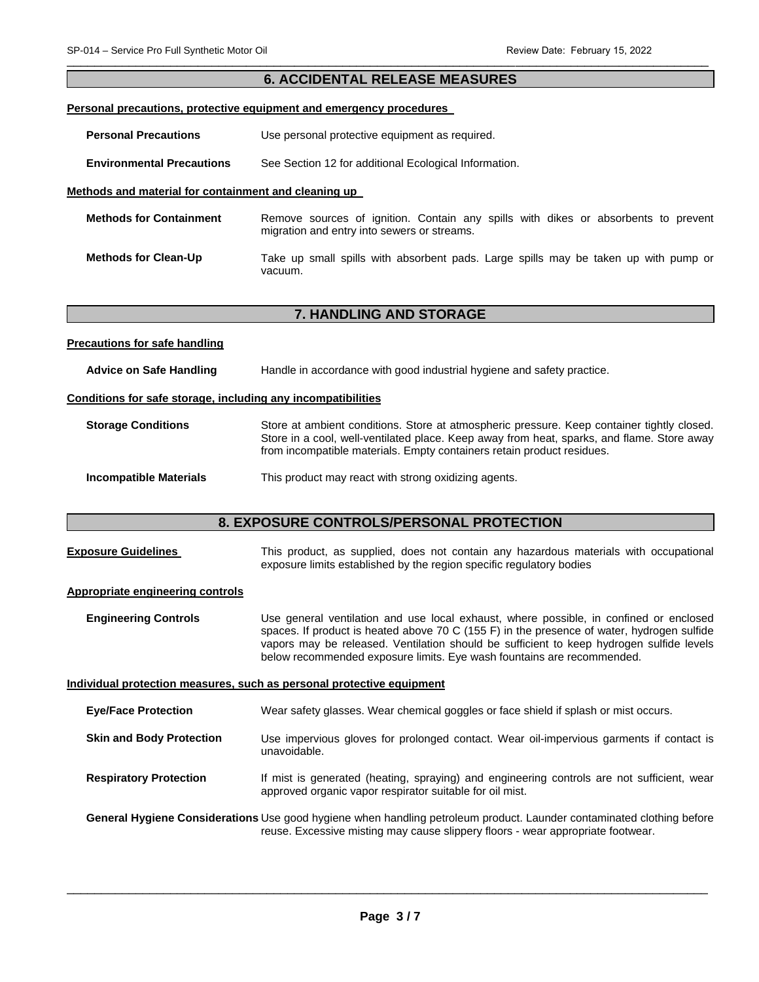# **6. ACCIDENTAL RELEASE MEASURES**

#### **Personal precautions, protective equipment and emergency procedures**

| <b>Personal Precautions</b> | Use personal protective equipment as required. |
|-----------------------------|------------------------------------------------|
|-----------------------------|------------------------------------------------|

**Environmental Precautions** See Section 12 for additional Ecological Information.

#### **Methods and material for containment and cleaning up**

| <b>Methods for Containment</b> | Remove sources of ignition. Contain any spills with dikes or absorbents to prevent<br>migration and entry into sewers or streams. |  |  |  |  |  |  |
|--------------------------------|-----------------------------------------------------------------------------------------------------------------------------------|--|--|--|--|--|--|
| <b>Methods for Clean-Up</b>    | Take up small spills with absorbent pads. Large spills may be taken up with pump or<br>vacuum.                                    |  |  |  |  |  |  |

# **7. HANDLING AND STORAGE**

| <b>Precautions for safe handling</b> |                                                                        |
|--------------------------------------|------------------------------------------------------------------------|
| Advice on Safe Handling              | Handle in accordance with good industrial hygiene and safety practice. |

## **Conditions for safe storage, including any incompatibilities**

# **Storage Conditions Store at ambient conditions.** Store at atmospheric pressure. Keep container tightly closed. Store in a cool, well-ventilated place. Keep away from heat, sparks, and flame. Store away from incompatible materials. Empty containers retain product residues.

#### **Incompatible Materials This product may react with strong oxidizing agents.**

# **8. EXPOSURE CONTROLS/PERSONAL PROTECTION**

| <b>Exposure Guidelines</b> |  |  |  |  |                                                                      |  | This product, as supplied, does not contain any hazardous materials with occupational |
|----------------------------|--|--|--|--|----------------------------------------------------------------------|--|---------------------------------------------------------------------------------------|
|                            |  |  |  |  | exposure limits established by the region specific regulatory bodies |  |                                                                                       |

#### **Appropriate engineering controls**

**Engineering Controls** Use general ventilation and use local exhaust, where possible, in confined or enclosed spaces. If product is heated above 70 C (155 F) in the presence of water, hydrogen sulfide vapors may be released. Ventilation should be sufficient to keep hydrogen sulfide levels below recommended exposure limits. Eye wash fountains are recommended.

#### **Individual protection measures, such as personal protective equipment**

**Eye/Face Protection** Wear safety glasses. Wear chemical goggles or face shield if splash or mist occurs.

- **Skin and Body Protection** Use impervious gloves for prolonged contact. Wear oil-impervious garments if contact is unavoidable.
- **Respiratory Protection** If mist is generated (heating, spraying) and engineering controls are not sufficient, wear approved organic vapor respirator suitable for oil mist.

**General Hygiene Considerations** Use good hygiene when handling petroleum product. Launder contaminated clothing before reuse. Excessive misting may cause slippery floors - wear appropriate footwear.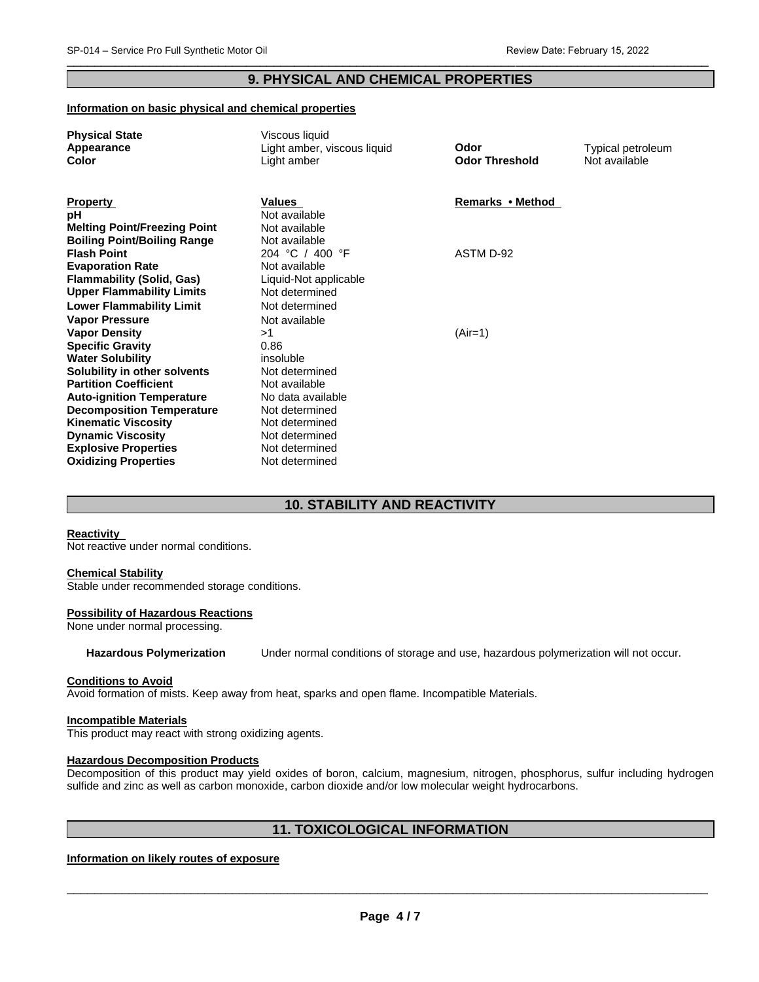# **9. PHYSICAL AND CHEMICAL PROPERTIES**

## **Information on basic physical and chemical properties**

| <b>Physical State</b>               | Viscous liquid              |                       |                   |
|-------------------------------------|-----------------------------|-----------------------|-------------------|
| Appearance                          | Light amber, viscous liquid | Odor                  | Typical petroleum |
| <b>Color</b>                        | Light amber                 | <b>Odor Threshold</b> | Not available     |
|                                     |                             |                       |                   |
|                                     |                             |                       |                   |
| <b>Property</b>                     | Values                      | Remarks • Method      |                   |
| рH                                  | Not available               |                       |                   |
| <b>Melting Point/Freezing Point</b> | Not available               |                       |                   |
| <b>Boiling Point/Boiling Range</b>  | Not available               |                       |                   |
| <b>Flash Point</b>                  | 204 °C / 400 °F             | ASTM D-92             |                   |
| <b>Evaporation Rate</b>             | Not available               |                       |                   |
| <b>Flammability (Solid, Gas)</b>    | Liquid-Not applicable       |                       |                   |
| <b>Upper Flammability Limits</b>    | Not determined              |                       |                   |
| <b>Lower Flammability Limit</b>     | Not determined              |                       |                   |
| <b>Vapor Pressure</b>               | Not available               |                       |                   |
| <b>Vapor Density</b>                | >1                          | $(Air=1)$             |                   |
| <b>Specific Gravity</b>             | 0.86                        |                       |                   |
| <b>Water Solubility</b>             | insoluble                   |                       |                   |
| Solubility in other solvents        | Not determined              |                       |                   |
| <b>Partition Coefficient</b>        | Not available               |                       |                   |
| <b>Auto-ignition Temperature</b>    | No data available           |                       |                   |
| <b>Decomposition Temperature</b>    | Not determined              |                       |                   |
| <b>Kinematic Viscosity</b>          | Not determined              |                       |                   |
| <b>Dynamic Viscosity</b>            | Not determined              |                       |                   |
| <b>Explosive Properties</b>         | Not determined              |                       |                   |
| <b>Oxidizing Properties</b>         | Not determined              |                       |                   |
|                                     |                             |                       |                   |

# **10. STABILITY AND REACTIVITY**

## **Reactivity**

Not reactive under normal conditions.

#### **Chemical Stability**

Stable under recommended storage conditions.

#### **Possibility of Hazardous Reactions**

None under normal processing.

**Hazardous Polymerization** Under normal conditions of storage and use, hazardous polymerization will not occur.

#### **Conditions to Avoid**

Avoid formation of mists. Keep away from heat, sparks and open flame. Incompatible Materials.

#### **Incompatible Materials**

This product may react with strong oxidizing agents.

#### **Hazardous Decomposition Products**

Decomposition of this product may yield oxides of boron, calcium, magnesium, nitrogen, phosphorus, sulfur including hydrogen sulfide and zinc as well as carbon monoxide, carbon dioxide and/or low molecular weight hydrocarbons.

# **11. TOXICOLOGICAL INFORMATION**

# **Information on likely routes of exposure**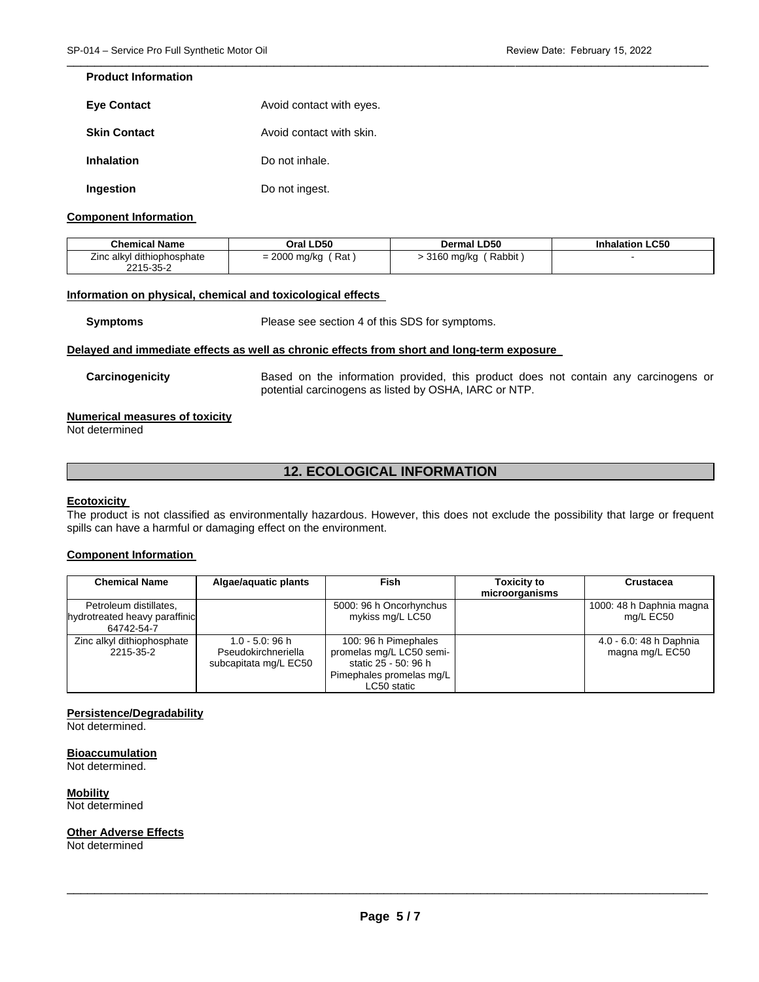## **Product Information**

| <b>Eye Contact</b>  | Avoid contact with eyes. |
|---------------------|--------------------------|
| <b>Skin Contact</b> | Avoid contact with skin. |
| Inhalation          | Do not inhale.           |
| Ingestion           | Do not ingest.           |

## **Component Information**

| <b>Chemical Name</b>       | Oral LD50             | <b>Dermal LD50</b>     | <b>Inhalation LC50</b> |
|----------------------------|-----------------------|------------------------|------------------------|
| Zinc alkyl dithiophosphate | $= 2000$ mg/kg<br>Rat | Rabbit<br>. 3160 mg/kg |                        |
| 2215-35-2                  |                       |                        |                        |

## **Information on physical, chemical and toxicological effects**

**Symptoms** Please see section 4 of this SDS for symptoms.

#### **Delayed and immediate effects as well as chronic effects from short and long-term exposure**

**Carcinogenicity** Based on the information provided, this product does not contain any carcinogens or potential carcinogens as listed by OSHA, IARC or NTP.

# **Numerical measures of toxicity**

Not determined

# **12. ECOLOGICAL INFORMATION**

#### **Ecotoxicity**

The product is not classified as environmentally hazardous. However, this does not exclude the possibility that large or frequent spills can have a harmful or damaging effect on the environment.

## **Component Information**

| <b>Chemical Name</b>                                                  | Algae/aguatic plants                                               | <b>Fish</b>                                                                                                         | <b>Toxicity to</b><br>microorganisms | Crustacea                                  |
|-----------------------------------------------------------------------|--------------------------------------------------------------------|---------------------------------------------------------------------------------------------------------------------|--------------------------------------|--------------------------------------------|
| Petroleum distillates,<br>hydrotreated heavy paraffinic<br>64742-54-7 |                                                                    | 5000: 96 h Oncorhynchus<br>mykiss mg/L LC50                                                                         |                                      | 1000: 48 h Daphnia magna<br>mg/L EC50      |
| Zinc alkyl dithiophosphate<br>2215-35-2                               | $1.0 - 5.0$ : 96 h<br>Pseudokirchneriella<br>subcapitata mg/L EC50 | 100: 96 h Pimephales<br>promelas mg/L LC50 semi-<br>static 25 - 50: 96 h<br>Pimephales promelas mg/L<br>LC50 static |                                      | 4.0 - 6.0: 48 h Daphnia<br>magna mg/L EC50 |

#### **Persistence/Degradability**

Not determined.

#### **Bioaccumulation**

Not determined.

**Mobility**

Not determined

#### **Other Adverse Effects**

Not determined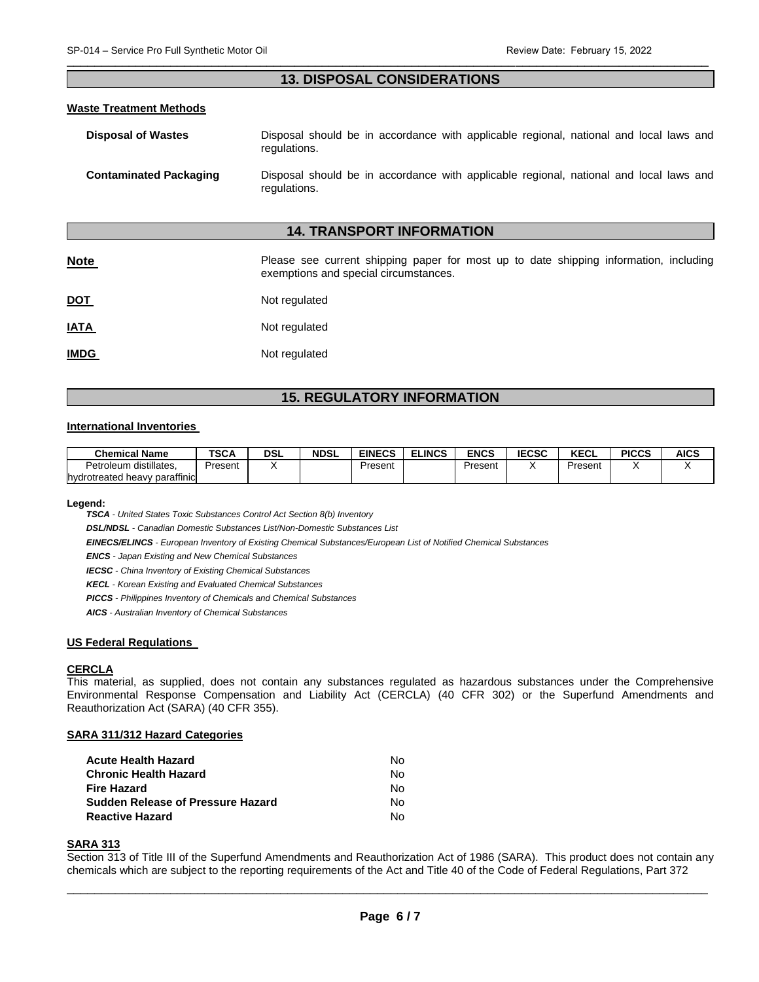# **13. DISPOSAL CONSIDERATIONS**

#### **Waste Treatment Methods**

| Disposal of Wastes     | regulations. |  | Disposal should be in accordance with applicable regional, national and local laws and |  |  |  |  |
|------------------------|--------------|--|----------------------------------------------------------------------------------------|--|--|--|--|
| Contaminated Packaging |              |  | Disposal should be in accordance with applicable regional, national and local laws and |  |  |  |  |

# **14. TRANSPORT INFORMATION**

| <b>Note</b> | Please see current shipping paper for most up to date shipping information, including<br>exemptions and special circumstances. |
|-------------|--------------------------------------------------------------------------------------------------------------------------------|
| <u>DOT</u>  | Not regulated                                                                                                                  |
| <u>IATA</u> | Not regulated                                                                                                                  |
| <b>IMDG</b> | Not regulated                                                                                                                  |

# **15. REGULATORY INFORMATION**

#### **International Inventories**

| <b>Chemical Name</b>          | <b>TSCA</b> | DSL | <b>NDSL</b> | <b>EINECS</b> | <b>ELINCS</b> | <b>ENCS</b> | <b>IECSC</b> | <b>VECI</b><br><b>ALLL</b> | <b>PICCS</b> | AICS |
|-------------------------------|-------------|-----|-------------|---------------|---------------|-------------|--------------|----------------------------|--------------|------|
| distillates.<br>Petroleum     | Present     |     |             | Present       |               | Present     |              | Present                    |              |      |
| hydrotreated heavy paraffinic |             |     |             |               |               |             |              |                            |              |      |

**Legend:** 

*TSCA - United States Toxic Substances Control Act Section 8(b) Inventory* 

*DSL/NDSL - Canadian Domestic Substances List/Non-Domestic Substances List* 

*EINECS/ELINCS - European Inventory of Existing Chemical Substances/European List of Notified Chemical Substances* 

regulations.

*ENCS - Japan Existing and New Chemical Substances* 

*IECSC - China Inventory of Existing Chemical Substances* 

*KECL - Korean Existing and Evaluated Chemical Substances* 

*PICCS - Philippines Inventory of Chemicals and Chemical Substances* 

*AICS - Australian Inventory of Chemical Substances* 

#### **US Federal Regulations**

#### **CERCLA**

This material, as supplied, does not contain any substances regulated as hazardous substances under the Comprehensive Environmental Response Compensation and Liability Act (CERCLA) (40 CFR 302) or the Superfund Amendments and Reauthorization Act (SARA) (40 CFR 355).

#### **SARA 311/312 Hazard Categories**

| Acute Health Hazard               | Nο  |
|-----------------------------------|-----|
| Chronic Health Hazard             | Nο  |
| Fire Hazard                       | Nο  |
| Sudden Release of Pressure Hazard | No. |
| Reactive Hazard                   | N٥  |

# **SARA 313**

Section 313 of Title III of the Superfund Amendments and Reauthorization Act of 1986 (SARA). This product does not contain any chemicals which are subject to the reporting requirements of the Act and Title 40 of the Code of Federal Regulations, Part 372